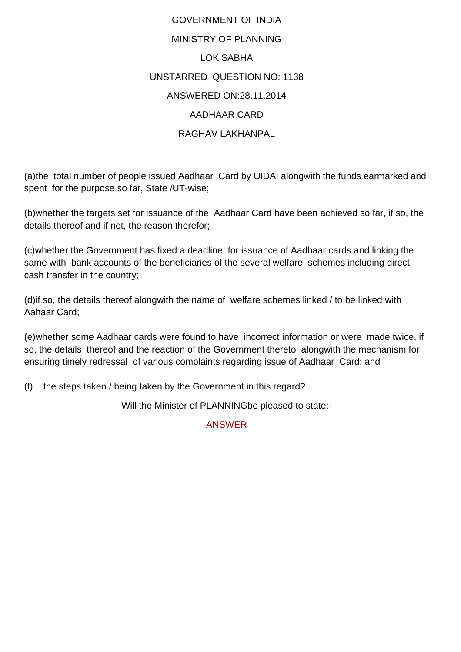## GOVERNMENT OF INDIA MINISTRY OF PLANNING LOK SABHA UNSTARRED QUESTION NO: 1138 ANSWERED ON:28.11.2014 AADHAAR CARD RAGHAV LAKHANPAL

(a)the total number of people issued Aadhaar Card by UIDAI alongwith the funds earmarked and spent for the purpose so far, State /UT-wise;

(b)whether the targets set for issuance of the Aadhaar Card have been achieved so far, if so, the details thereof and if not, the reason therefor;

(c)whether the Government has fixed a deadline for issuance of Aadhaar cards and linking the same with bank accounts of the beneficiaries of the several welfare schemes including direct cash transfer in the country;

(d)if so, the details thereof alongwith the name of welfare schemes linked / to be linked with Aahaar Card;

(e)whether some Aadhaar cards were found to have incorrect information or were made twice, if so, the details thereof and the reaction of the Government thereto alongwith the mechanism for ensuring timely redressal of various complaints regarding issue of Aadhaar Card; and

(f) the steps taken / being taken by the Government in this regard?

Will the Minister of PLANNINGbe pleased to state:-

## ANSWER